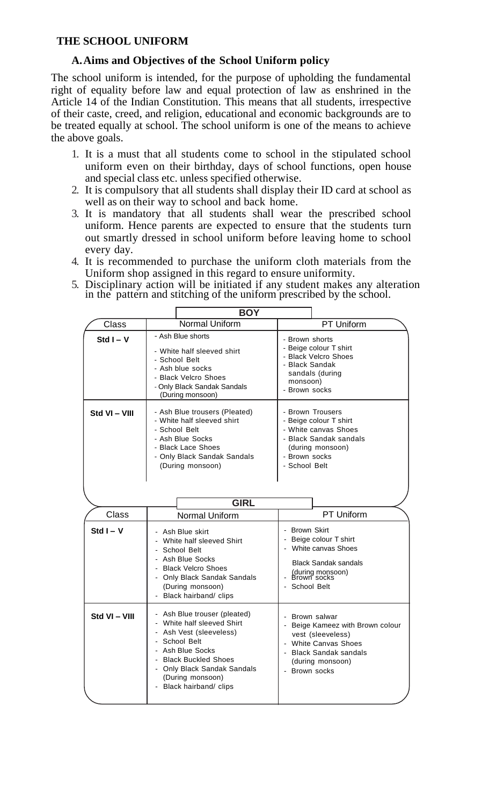## **THE SCHOOL UNIFORM**

## **A.Aims and Objectives of the School Uniform policy**

The school uniform is intended, for the purpose of upholding the fundamental right of equality before law and equal protection of law as enshrined in the Article 14 of the Indian Constitution. This means that all students, irrespective of their caste, creed, and religion, educational and economic backgrounds are to be treated equally at school. The school uniform is one of the means to achieve the above goals.

- 1. It is a must that all students come to school in the stipulated school uniform even on their birthday, days of school functions, open house and special class etc. unless specified otherwise.
- 2. It is compulsory that all students shall display their ID card at school as well as on their way to school and back home.
- 3. It is mandatory that all students shall wear the prescribed school uniform. Hence parents are expected to ensure that the students turn out smartly dressed in school uniform before leaving home to school every day.
- 4. It is recommended to purchase the uniform cloth materials from the Uniform shop assigned in this regard to ensure uniformity.
- 5. Disciplinary action will be initiated if any student makes any alteration in the pattern and stitching of the uniform prescribed by the school.

|               | <b>BOY</b>                                                                                                                                                                                                                      |                                                                                                                                                                     |
|---------------|---------------------------------------------------------------------------------------------------------------------------------------------------------------------------------------------------------------------------------|---------------------------------------------------------------------------------------------------------------------------------------------------------------------|
| Class         | <b>Normal Uniform</b>                                                                                                                                                                                                           | PT Uniform                                                                                                                                                          |
| Std $I - V$   | - Ash Blue shorts<br>- White half sleeved shirt<br>- School Belt<br>- Ash blue socks<br>- Black Velcro Shoes<br>- Only Black Sandak Sandals<br>(During monsoon)                                                                 | - Brown shorts<br>- Beige colour T shirt<br>- Black Velcro Shoes<br>- Black Sandak<br>sandals (during<br>monsoon)<br>- Brown socks                                  |
| Std VI - VIII | - Ash Blue trousers (Pleated)<br>- White half sleeved shirt<br>- School Belt<br>- Ash Blue Socks<br>- Black Lace Shoes<br>- Only Black Sandak Sandals<br>(During monsoon)                                                       | - Brown Trousers<br>- Beige colour T shirt<br>- White canvas Shoes<br>- Black Sandak sandals<br>(during monsoon)<br>- Brown socks<br>- School Belt                  |
| <b>GIRL</b>   |                                                                                                                                                                                                                                 |                                                                                                                                                                     |
| Class         | Normal Uniform                                                                                                                                                                                                                  | PT Uniform                                                                                                                                                          |
| Std $I - V$   | - Ash Blue skirt<br>- White half sleeved Shirt<br>- School Belt<br>- Ash Blue Socks<br>- Black Velcro Shoes<br>- Only Black Sandak Sandals<br>(During monsoon)<br>- Black hairband/ clips                                       | - Brown Skirt<br>- Beige colour T shirt<br>- White canvas Shoes<br><b>Black Sandak sandals</b><br>(during monsoon)<br>Brown socks<br>- School Belt                  |
| Std VI - VIII | - Ash Blue trouser (pleated)<br>- White half sleeved Shirt<br>- Ash Vest (sleeveless)<br>School Belt<br>- Ash Blue Socks<br>- Black Buckled Shoes<br>- Only Black Sandak Sandals<br>(During monsoon)<br>- Black hairband/ clips | - Brown salwar<br>- Beige Kameez with Brown colour<br>vest (sleeveless)<br>- White Canvas Shoes<br><b>Black Sandak sandals</b><br>(during monsoon)<br>- Brown socks |